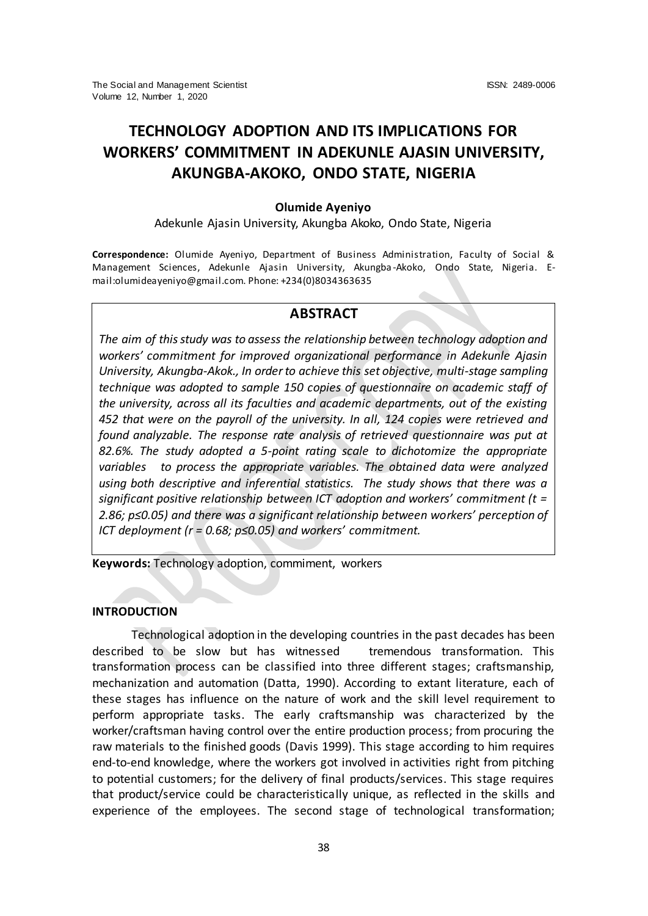# **TECHNOLOGY ADOPTION AND ITS IMPLICATIONS FOR WORKERS' COMMITMENT IN ADEKUNLE AJASIN UNIVERSITY, AKUNGBA-AKOKO, ONDO STATE, NIGERIA**

## **Olumide Ayeniyo**

Adekunle Ajasin University, Akungba Akoko, Ondo State, Nigeria

**Correspondence:** Olumide Ayeniyo, Department of Business Administration, Faculty of Social & Management Sciences, Adekunle Ajasin University, Akungba -Akoko, Ondo State, Nigeria. Email:olumideayeniyo@gmail.com. Phone: +234(0)8034363635

## **ABSTRACT**

*The aim of this study was to assess the relationship between technology adoption and workers' commitment for improved organizational performance in Adekunle Ajasin University, Akungba-Akok., In order to achieve this set objective, multi-stage sampling technique was adopted to sample 150 copies of questionnaire on academic staff of the university, across all its faculties and academic departments, out of the existing 452 that were on the payroll of the university. In all, 124 copies were retrieved and found analyzable. The response rate analysis of retrieved questionnaire was put at 82.6%. The study adopted a 5-point rating scale to dichotomize the appropriate variables to process the appropriate variables. The obtained data were analyzed using both descriptive and inferential statistics. The study shows that there was a significant positive relationship between ICT adoption and workers' commitment (t =*  2.86; p≤0.05) and there was a significant relationship between workers' perception of *ICT deployment (r = 0.68; p≤0.05) and workers' commitment.*

**Keywords:** Technology adoption, commiment, workers

## **INTRODUCTION**

Technological adoption in the developing countries in the past decades has been described to be slow but has witnessed tremendous transformation. This transformation process can be classified into three different stages; craftsmanship, mechanization and automation (Datta, 1990). According to extant literature, each of these stages has influence on the nature of work and the skill level requirement to perform appropriate tasks. The early craftsmanship was characterized by the worker/craftsman having control over the entire production process; from procuring the raw materials to the finished goods (Davis 1999). This stage according to him requires end-to-end knowledge, where the workers got involved in activities right from pitching to potential customers; for the delivery of final products/services. This stage requires that product/service could be characteristically unique, as reflected in the skills and experience of the employees. The second stage of technological transformation;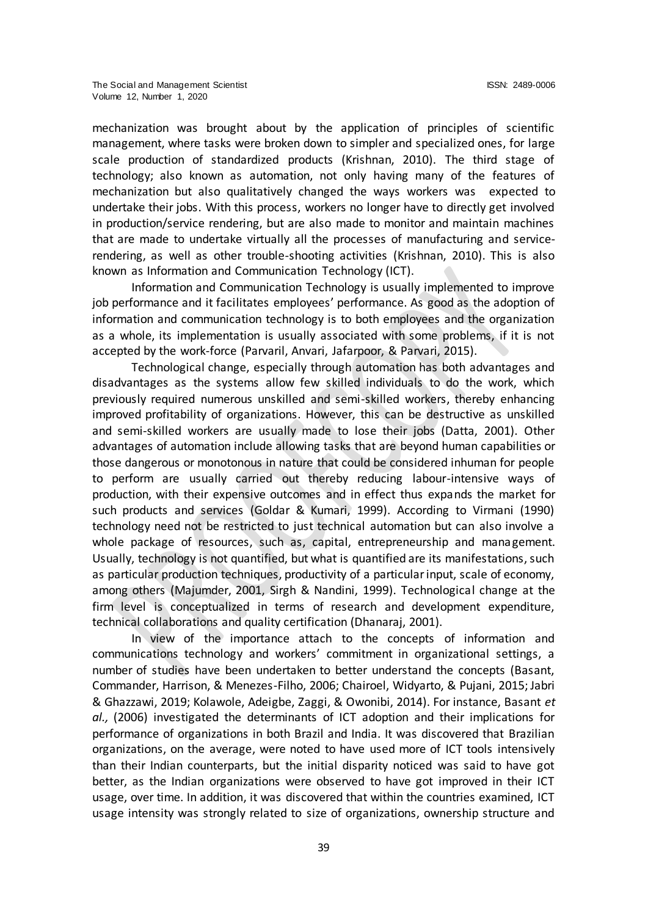mechanization was brought about by the application of principles of scientific management, where tasks were broken down to simpler and specialized ones, for large scale production of standardized products (Krishnan, 2010). The third stage of technology; also known as automation, not only having many of the features of mechanization but also qualitatively changed the ways workers was expected to undertake their jobs. With this process, workers no longer have to directly get involved in production/service rendering, but are also made to monitor and maintain machines that are made to undertake virtually all the processes of manufacturing and servicerendering, as well as other trouble-shooting activities (Krishnan, 2010). This is also known as Information and Communication Technology (ICT).

Information and Communication Technology is usually implemented to improve job performance and it facilitates employees' performance. As good as the adoption of information and communication technology is to both employees and the organization as a whole, its implementation is usually associated with some problems, if it is not accepted by the work-force (Parvaril, Anvari, Jafarpoor, & Parvari, 2015).

Technological change, especially through automation has both advantages and disadvantages as the systems allow few skilled individuals to do the work, which previously required numerous unskilled and semi-skilled workers, thereby enhancing improved profitability of organizations. However, this can be destructive as unskilled and semi-skilled workers are usually made to lose their jobs (Datta, 2001). Other advantages of automation include allowing tasks that are beyond human capabilities or those dangerous or monotonous in nature that could be considered inhuman for people to perform are usually carried out thereby reducing labour-intensive ways of production, with their expensive outcomes and in effect thus expands the market for such products and services (Goldar & Kumari, 1999). According to Virmani (1990) technology need not be restricted to just technical automation but can also involve a whole package of resources, such as, capital, entrepreneurship and management. Usually, technology is not quantified, but what is quantified are its manifestations, such as particular production techniques, productivity of a particular input, scale of economy, among others (Majumder, 2001, Sirgh & Nandini, 1999). Technological change at the firm level is conceptualized in terms of research and development expenditure, technical collaborations and quality certification (Dhanaraj, 2001).

In view of the importance attach to the concepts of information and communications technology and workers' commitment in organizational settings, a number of studies have been undertaken to better understand the concepts (Basant, Commander, Harrison, & Menezes-Filho, 2006; Chairoel, Widyarto, & Pujani, 2015; Jabri & Ghazzawi, 2019; Kolawole, Adeigbe, Zaggi, & Owonibi, 2014). For instance, Basant *et al.,* (2006) investigated the determinants of ICT adoption and their implications for performance of organizations in both Brazil and India. It was discovered that Brazilian organizations, on the average, were noted to have used more of ICT tools intensively than their Indian counterparts, but the initial disparity noticed was said to have got better, as the Indian organizations were observed to have got improved in their ICT usage, over time. In addition, it was discovered that within the countries examined, ICT usage intensity was strongly related to size of organizations, ownership structure and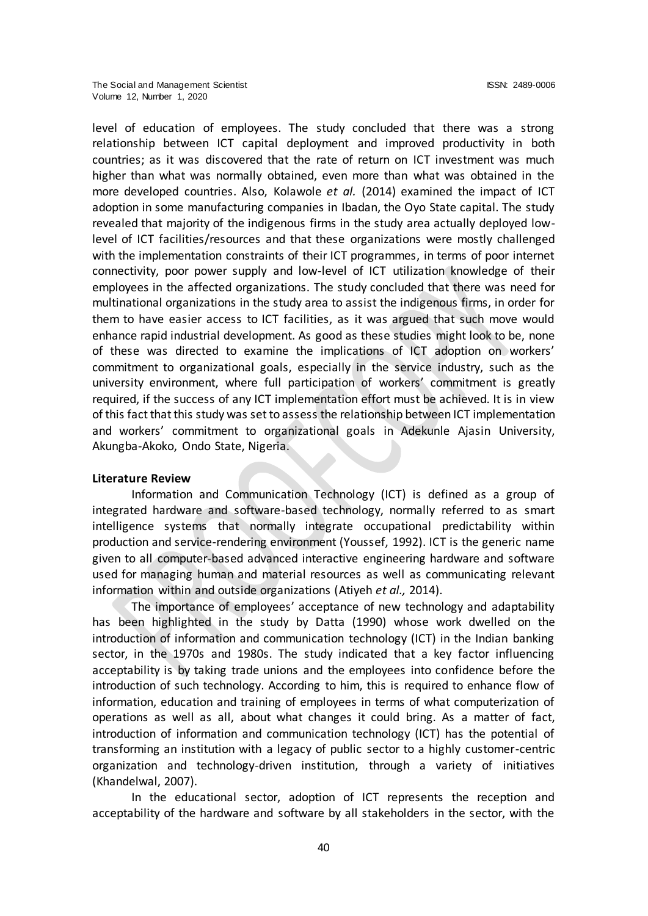level of education of employees. The study concluded that there was a strong relationship between ICT capital deployment and improved productivity in both countries; as it was discovered that the rate of return on ICT investment was much higher than what was normally obtained, even more than what was obtained in the more developed countries. Also, Kolawole *et al.* (2014) examined the impact of ICT adoption in some manufacturing companies in Ibadan, the Oyo State capital. The study revealed that majority of the indigenous firms in the study area actually deployed lowlevel of ICT facilities/resources and that these organizations were mostly challenged with the implementation constraints of their ICT programmes, in terms of poor internet connectivity, poor power supply and low-level of ICT utilization knowledge of their employees in the affected organizations. The study concluded that there was need for multinational organizations in the study area to assist the indigenous firms, in order for them to have easier access to ICT facilities, as it was argued that such move would enhance rapid industrial development. As good as these studies might look to be, none of these was directed to examine the implications of ICT adoption on workers' commitment to organizational goals, especially in the service industry, such as the university environment, where full participation of workers' commitment is greatly required, if the success of any ICT implementation effort must be achieved. It is in view of this fact that this study was set to assess the relationship between ICT implementation and workers' commitment to organizational goals in Adekunle Ajasin University, Akungba-Akoko, Ondo State, Nigeria.

#### **Literature Review**

Information and Communication Technology (ICT) is defined as a group of integrated hardware and software-based technology, normally referred to as smart intelligence systems that normally integrate occupational predictability within production and service-rendering environment (Youssef, 1992). ICT is the generic name given to all computer-based advanced interactive engineering hardware and software used for managing human and material resources as well as communicating relevant information within and outside organizations (Atiyeh *et al.,* 2014).

The importance of employees' acceptance of new technology and adaptability has been highlighted in the study by Datta (1990) whose work dwelled on the introduction of information and communication technology (ICT) in the Indian banking sector, in the 1970s and 1980s. The study indicated that a key factor influencing acceptability is by taking trade unions and the employees into confidence before the introduction of such technology. According to him, this is required to enhance flow of information, education and training of employees in terms of what computerization of operations as well as all, about what changes it could bring. As a matter of fact, introduction of information and communication technology (ICT) has the potential of transforming an institution with a legacy of public sector to a highly customer-centric organization and technology-driven institution, through a variety of initiatives (Khandelwal, 2007).

In the educational sector, adoption of ICT represents the reception and acceptability of the hardware and software by all stakeholders in the sector, with the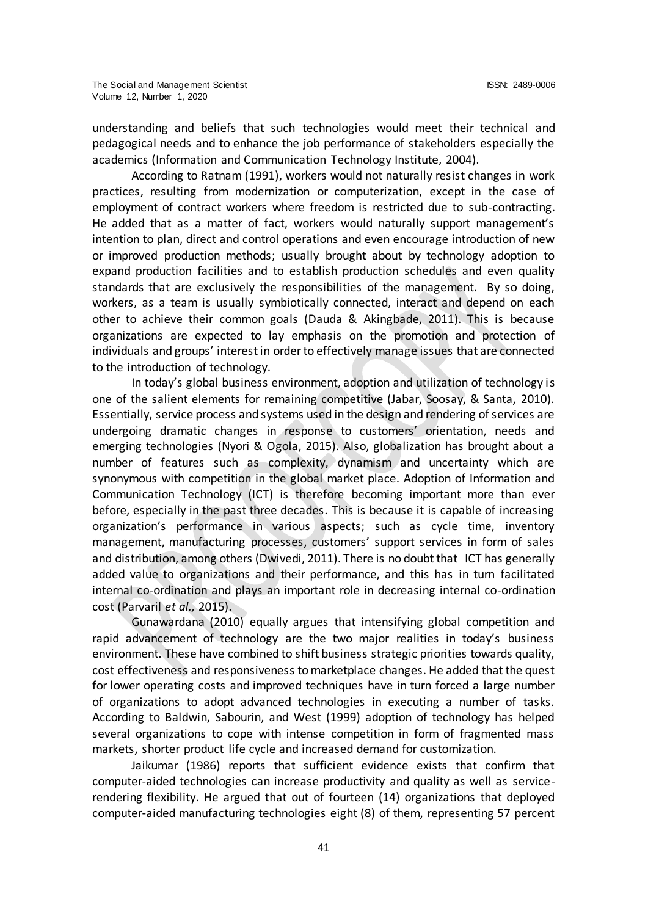understanding and beliefs that such technologies would meet their technical and pedagogical needs and to enhance the job performance of stakeholders especially the academics (Information and Communication Technology Institute, 2004).

According to Ratnam (1991), workers would not naturally resist changes in work practices, resulting from modernization or computerization, except in the case of employment of contract workers where freedom is restricted due to sub-contracting. He added that as a matter of fact, workers would naturally support management's intention to plan, direct and control operations and even encourage introduction of new or improved production methods; usually brought about by technology adoption to expand production facilities and to establish production schedules and even quality standards that are exclusively the responsibilities of the management. By so doing, workers, as a team is usually symbiotically connected, interact and depend on each other to achieve their common goals (Dauda & Akingbade, 2011). This is because organizations are expected to lay emphasis on the promotion and protection of individuals and groups' interest in order to effectively manage issues that are connected to the introduction of technology.

In today's global business environment, adoption and utilization of technology is one of the salient elements for remaining competitive (Jabar, Soosay, & Santa, 2010). Essentially, service process and systems used in the design and rendering of services are undergoing dramatic changes in response to customers' orientation, needs and emerging technologies (Nyori & Ogola, 2015). Also, globalization has brought about a number of features such as complexity, dynamism and uncertainty which are synonymous with competition in the global market place. Adoption of Information and Communication Technology (ICT) is therefore becoming important more than ever before, especially in the past three decades. This is because it is capable of increasing organization's performance in various aspects; such as cycle time, inventory management, manufacturing processes, customers' support services in form of sales and distribution, among others (Dwivedi, 2011). There is no doubt that ICT has generally added value to organizations and their performance, and this has in turn facilitated internal co-ordination and plays an important role in decreasing internal co-ordination cost (Parvaril *et al.,* 2015).

Gunawardana (2010) equally argues that intensifying global competition and rapid advancement of technology are the two major realities in today's business environment. These have combined to shift business strategic priorities towards quality, cost effectiveness and responsiveness to marketplace changes. He added that the quest for lower operating costs and improved techniques have in turn forced a large number of organizations to adopt advanced technologies in executing a number of tasks. According to Baldwin, Sabourin, and West (1999) adoption of technology has helped several organizations to cope with intense competition in form of fragmented mass markets, shorter product life cycle and increased demand for customization.

Jaikumar (1986) reports that sufficient evidence exists that confirm that computer-aided technologies can increase productivity and quality as well as servicerendering flexibility. He argued that out of fourteen (14) organizations that deployed computer-aided manufacturing technologies eight (8) of them, representing 57 percent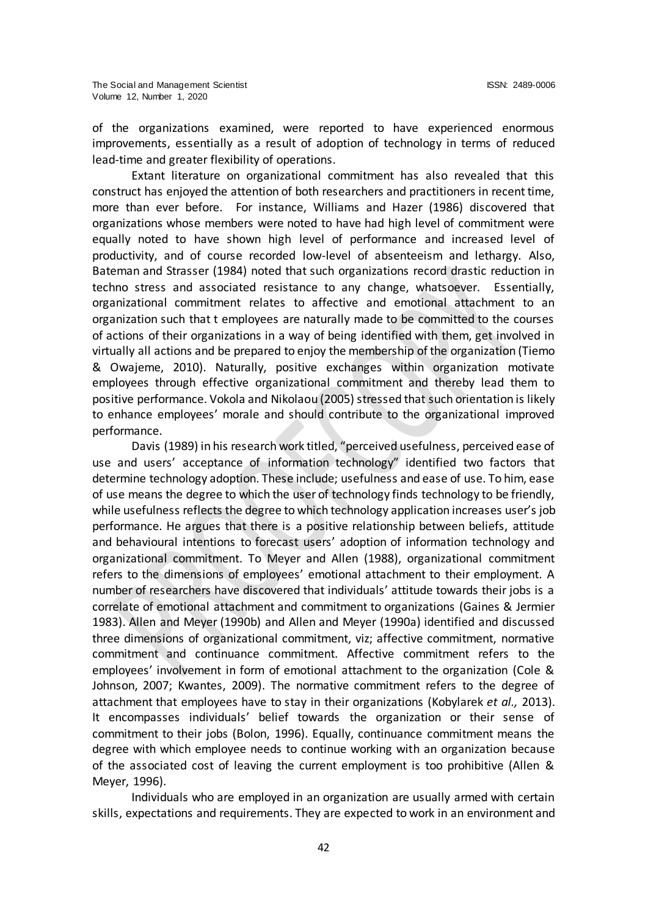of the organizations examined, were reported to have experienced enormous improvements, essentially as a result of adoption of technology in terms of reduced lead-time and greater flexibility of operations.

Extant literature on organizational commitment has also revealed that this construct has enjoyed the attention of both researchers and practitioners in recent time, more than ever before. For instance, Williams and Hazer (1986) discovered that organizations whose members were noted to have had high level of commitment were equally noted to have shown high level of performance and increased level of productivity, and of course recorded low-level of absenteeism and lethargy. Also, Bateman and Strasser (1984) noted that such organizations record drastic reduction in techno stress and associated resistance to any change, whatsoever. Essentially, organizational commitment relates to affective and emotional attachment to an organization such that t employees are naturally made to be committed to the courses of actions of their organizations in a way of being identified with them, get involved in virtually all actions and be prepared to enjoy the membership of the organization (Tiemo & Owajeme, 2010). Naturally, positive exchanges within organization motivate employees through effective organizational commitment and thereby lead them to positive performance. Vokola and Nikolaou (2005) stressed that such orientation is likely to enhance employees' morale and should contribute to the organizational improved performance.

Davis (1989) in his research work titled, "perceived usefulness, perceived ease of use and users' acceptance of information technology" identified two factors that determine technology adoption. These include; usefulness and ease of use. To him, ease of use means the degree to which the user of technology finds technology to be friendly, while usefulness reflects the degree to which technology application increases user's job performance. He argues that there is a positive relationship between beliefs, attitude and behavioural intentions to forecast users' adoption of information technology and organizational commitment. To Meyer and Allen (1988), organizational commitment refers to the dimensions of employees' emotional attachment to their employment. A number of researchers have discovered that individuals' attitude towards their jobs is a correlate of emotional attachment and commitment to organizations (Gaines & Jermier 1983). Allen and Meyer (1990b) and Allen and Meyer (1990a) identified and discussed three dimensions of organizational commitment, viz; affective commitment, normative commitment and continuance commitment. Affective commitment refers to the employees' involvement in form of emotional attachment to the organization (Cole & Johnson, 2007; Kwantes, 2009). The normative commitment refers to the degree of attachment that employees have to stay in their organizations (Kobylarek *et al.,* 2013). It encompasses individuals' belief towards the organization or their sense of commitment to their jobs (Bolon, 1996). Equally, continuance commitment means the degree with which employee needs to continue working with an organization because of the associated cost of leaving the current employment is too prohibitive (Allen & Meyer, 1996).

Individuals who are employed in an organization are usually armed with certain skills, expectations and requirements. They are expected to work in an environment and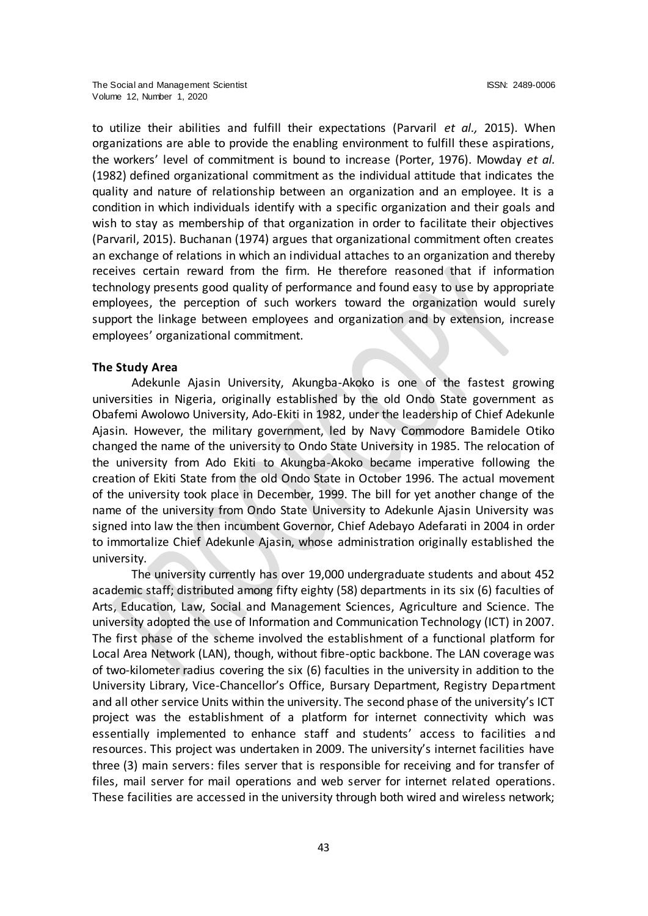to utilize their abilities and fulfill their expectations (Parvaril *et al.,* 2015). When organizations are able to provide the enabling environment to fulfill these aspirations, the workers' level of commitment is bound to increase (Porter, 1976). Mowday *et al.* (1982) defined organizational commitment as the individual attitude that indicates the quality and nature of relationship between an organization and an employee. It is a condition in which individuals identify with a specific organization and their goals and wish to stay as membership of that organization in order to facilitate their objectives (Parvaril, 2015). Buchanan (1974) argues that organizational commitment often creates an exchange of relations in which an individual attaches to an organization and thereby receives certain reward from the firm. He therefore reasoned that if information technology presents good quality of performance and found easy to use by appropriate employees, the perception of such workers toward the organization would surely support the linkage between employees and organization and by extension, increase employees' organizational commitment.

#### **The Study Area**

Adekunle Ajasin University, Akungba-Akoko is one of the fastest growing universities in Nigeria, originally established by the old Ondo State government as Obafemi Awolowo University, Ado-Ekiti in 1982, under the leadership of Chief Adekunle Ajasin. However, the military government, led by Navy Commodore Bamidele Otiko changed the name of the university to Ondo State University in 1985. The relocation of the university from Ado Ekiti to Akungba-Akoko became imperative following the creation of Ekiti State from the old Ondo State in October 1996. The actual movement of the university took place in December, 1999. The bill for yet another change of the name of the university from Ondo State University to Adekunle Ajasin University was signed into law the then incumbent Governor, Chief Adebayo Adefarati in 2004 in order to immortalize Chief Adekunle Ajasin, whose administration originally established the university.

The university currently has over 19,000 undergraduate students and about 452 academic staff; distributed among fifty eighty (58) departments in its six (6) faculties of Arts, Education, Law, Social and Management Sciences, Agriculture and Science. The university adopted the use of Information and Communication Technology (ICT) in 2007. The first phase of the scheme involved the establishment of a functional platform for Local Area Network (LAN), though, without fibre-optic backbone. The LAN coverage was of two-kilometer radius covering the six (6) faculties in the university in addition to the University Library, Vice-Chancellor's Office, Bursary Department, Registry Department and all other service Units within the university. The second phase of the university's ICT project was the establishment of a platform for internet connectivity which was essentially implemented to enhance staff and students' access to facilities and resources. This project was undertaken in 2009. The university's internet facilities have three (3) main servers: files server that is responsible for receiving and for transfer of files, mail server for mail operations and web server for internet related operations. These facilities are accessed in the university through both wired and wireless network;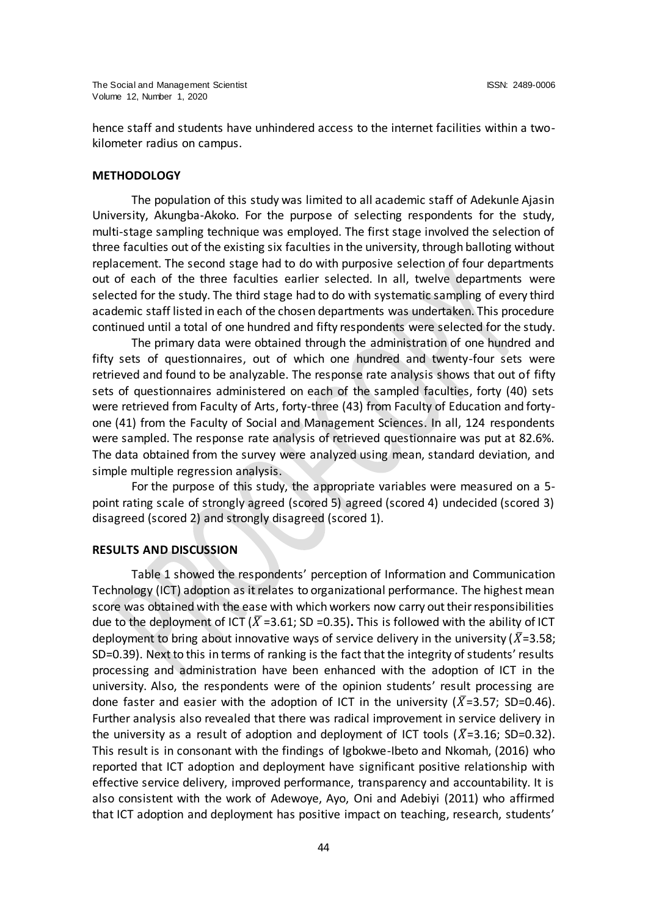hence staff and students have unhindered access to the internet facilities within a twokilometer radius on campus.

## **METHODOLOGY**

The population of this study was limited to all academic staff of Adekunle Ajasin University, Akungba-Akoko. For the purpose of selecting respondents for the study, multi-stage sampling technique was employed. The first stage involved the selection of three faculties out of the existing six faculties in the university, through balloting without replacement. The second stage had to do with purposive selection of four departments out of each of the three faculties earlier selected. In all, twelve departments were selected for the study. The third stage had to do with systematic sampling of every third academic staff listed in each of the chosen departments was undertaken. This procedure continued until a total of one hundred and fifty respondents were selected for the study.

The primary data were obtained through the administration of one hundred and fifty sets of questionnaires, out of which one hundred and twenty-four sets were retrieved and found to be analyzable. The response rate analysis shows that out of fifty sets of questionnaires administered on each of the sampled faculties, forty (40) sets were retrieved from Faculty of Arts, forty-three (43) from Faculty of Education and fortyone (41) from the Faculty of Social and Management Sciences. In all, 124 respondents were sampled. The response rate analysis of retrieved questionnaire was put at 82.6%. The data obtained from the survey were analyzed using mean, standard deviation, and simple multiple regression analysis.

For the purpose of this study, the appropriate variables were measured on a 5 point rating scale of strongly agreed (scored 5) agreed (scored 4) undecided (scored 3) disagreed (scored 2) and strongly disagreed (scored 1).

#### **RESULTS AND DISCUSSION**

Table 1 showed the respondents' perception of Information and Communication Technology (ICT) adoption as it relates to organizational performance. The highest mean score was obtained with the ease with which workers now carry out their responsibilities due to the deployment of ICT ( $\overline{X}$  =3.61; SD =0.35). This is followed with the ability of ICT deployment to bring about innovative ways of service delivery in the university ( $\bar{X}$ =3.58; SD=0.39). Next to this in terms of ranking is the fact that the integrity of students' results processing and administration have been enhanced with the adoption of ICT in the university. Also, the respondents were of the opinion students' result processing are done faster and easier with the adoption of ICT in the university ( $\bar{X}$ =3.57; SD=0.46). Further analysis also revealed that there was radical improvement in service delivery in the university as a result of adoption and deployment of ICT tools ( $\bar{X}=3.16$ ; SD=0.32). This result is in consonant with the findings of Igbokwe-Ibeto and Nkomah, (2016) who reported that ICT adoption and deployment have significant positive relationship with effective service delivery, improved performance, transparency and accountability. It is also consistent with the work of Adewoye, Ayo, Oni and Adebiyi (2011) who affirmed that ICT adoption and deployment has positive impact on teaching, research, students'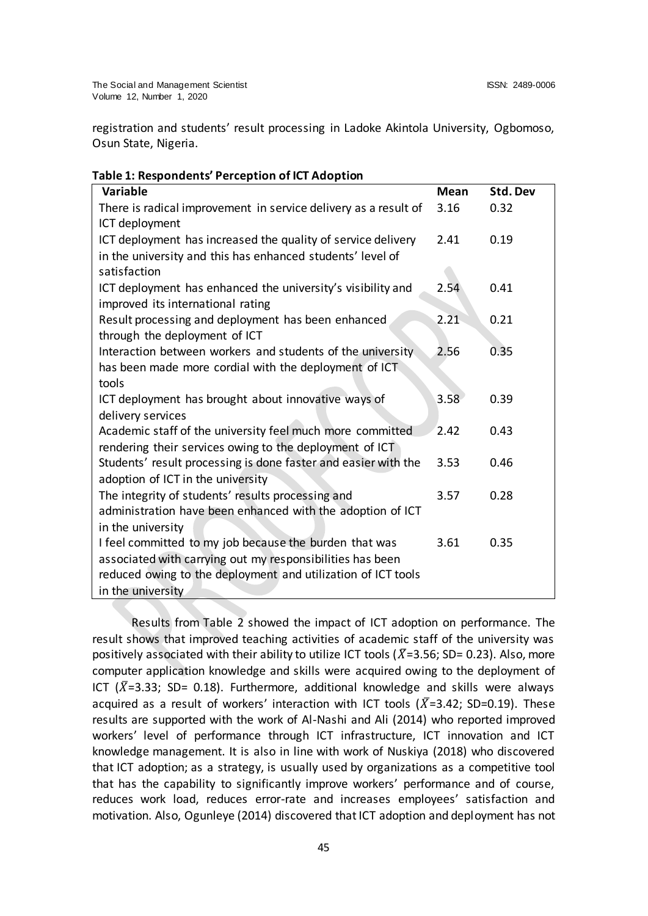registration and students' result processing in Ladoke Akintola University, Ogbomoso, Osun State, Nigeria.

| <b>Variable</b>                                                 | <b>Mean</b> | Std. Dev |
|-----------------------------------------------------------------|-------------|----------|
| There is radical improvement in service delivery as a result of | 3.16        | 0.32     |
| ICT deployment                                                  |             |          |
| ICT deployment has increased the quality of service delivery    | 2.41        | 0.19     |
| in the university and this has enhanced students' level of      |             |          |
| satisfaction                                                    |             |          |
| ICT deployment has enhanced the university's visibility and     | 2.54        | 0.41     |
| improved its international rating                               |             |          |
| Result processing and deployment has been enhanced              | 2.21        | 0.21     |
| through the deployment of ICT                                   |             |          |
| Interaction between workers and students of the university      | 2.56        | 0.35     |
| has been made more cordial with the deployment of ICT.          |             |          |
| tools                                                           |             |          |
| ICT deployment has brought about innovative ways of             | 3.58        | 0.39     |
| delivery services                                               |             |          |
| Academic staff of the university feel much more committed       | 2.42        | 0.43     |
| rendering their services owing to the deployment of ICT         |             |          |
| Students' result processing is done faster and easier with the  | 3.53        | 0.46     |
| adoption of ICT in the university                               |             |          |
| The integrity of students' results processing and               | 3.57        | 0.28     |
| administration have been enhanced with the adoption of ICT      |             |          |
| in the university                                               |             |          |
| I feel committed to my job because the burden that was          | 3.61        | 0.35     |
| associated with carrying out my responsibilities has been       |             |          |
| reduced owing to the deployment and utilization of ICT tools    |             |          |
| in the university                                               |             |          |

## **Table 1: Respondents' Perception of ICT Adoption**

Results from Table 2 showed the impact of ICT adoption on performance. The result shows that improved teaching activities of academic staff of the university was positively associated with their ability to utilize ICT tools ( $\bar{X}$ =3.56; SD= 0.23). Also, more computer application knowledge and skills were acquired owing to the deployment of ICT ( $\bar{X}$ =3.33; SD= 0.18). Furthermore, additional knowledge and skills were always acquired as a result of workers' interaction with ICT tools ( $\bar{X}$ =3.42; SD=0.19). These results are supported with the work of Al-Nashi and Ali (2014) who reported improved workers' level of performance through ICT infrastructure, ICT innovation and ICT knowledge management. It is also in line with work of Nuskiya (2018) who discovered that ICT adoption; as a strategy, is usually used by organizations as a competitive tool that has the capability to significantly improve workers' performance and of course, reduces work load, reduces error-rate and increases employees' satisfaction and motivation. Also, Ogunleye (2014) discovered that ICT adoption and deployment has not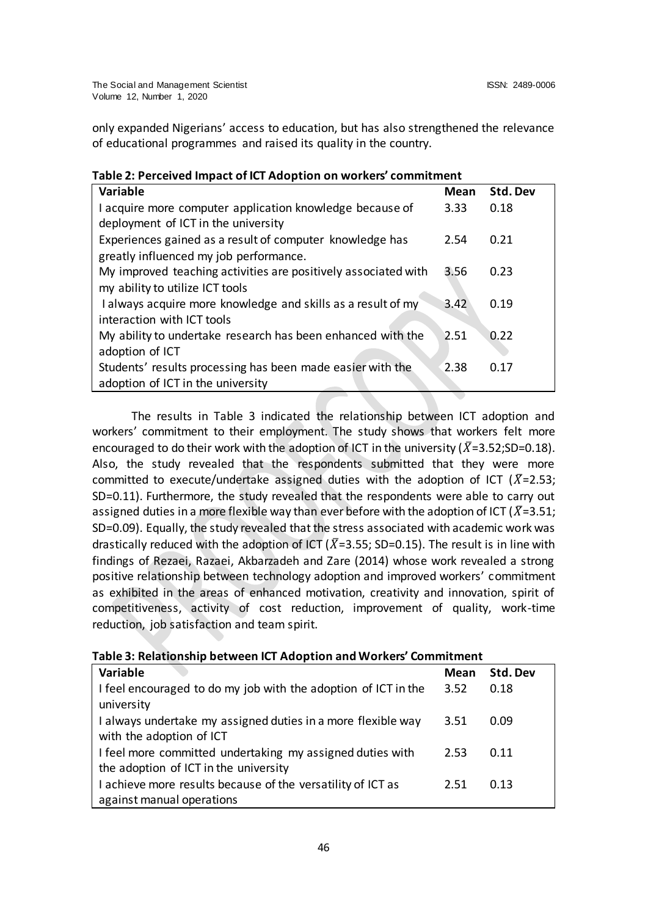only expanded Nigerians' access to education, but has also strengthened the relevance of educational programmes and raised its quality in the country.

| <u>asic En l'enecheu impaet di ien Audption du Norweid-tommunent</u> |      |          |
|----------------------------------------------------------------------|------|----------|
| <b>Variable</b>                                                      | Mean | Std. Dev |
| I acquire more computer application knowledge because of             | 3.33 | 0.18     |
| deployment of ICT in the university                                  |      |          |
| Experiences gained as a result of computer knowledge has             | 2.54 | 0.21     |
| greatly influenced my job performance.                               |      |          |
| My improved teaching activities are positively associated with       | 3.56 | 0.23     |
| my ability to utilize ICT tools                                      |      |          |
| I always acquire more knowledge and skills as a result of my         | 3.42 | 0.19     |
| interaction with ICT tools                                           |      |          |
| My ability to undertake research has been enhanced with the          | 2.51 | 0.22     |
| adoption of ICT                                                      |      |          |
| Students' results processing has been made easier with the           | 2.38 | 0.17     |
| adoption of ICT in the university                                    |      |          |

# **Table 2: Perceived Impact of ICT Adoption on workers' commitment**

The results in Table 3 indicated the relationship between ICT adoption and workers' commitment to their employment. The study shows that workers felt more encouraged to do their work with the adoption of ICT in the university ( $\bar{X}=3.52$ ; SD=0.18). Also, the study revealed that the respondents submitted that they were more committed to execute/undertake assigned duties with the adoption of ICT ( $\bar{X}$ =2.53; SD=0.11). Furthermore, the study revealed that the respondents were able to carry out assigned duties in a more flexible way than ever before with the adoption of ICT ( $X=3.51$ ; SD=0.09). Equally, the study revealed that the stress associated with academic work was drastically reduced with the adoption of ICT ( $\bar{X}$ =3.55; SD=0.15). The result is in line with findings of Rezaei, Razaei, Akbarzadeh and Zare (2014) whose work revealed a strong positive relationship between technology adoption and improved workers' commitment as exhibited in the areas of enhanced motivation, creativity and innovation, spirit of competitiveness, activity of cost reduction, improvement of quality, work-time reduction, job satisfaction and team spirit.

| Variable                                                       | Mean | Std. Dev |
|----------------------------------------------------------------|------|----------|
| I feel encouraged to do my job with the adoption of ICT in the | 3.52 | 0.18     |
| university                                                     |      |          |
| I always undertake my assigned duties in a more flexible way   | 3.51 | 0.09     |
| with the adoption of ICT                                       |      |          |
| I feel more committed undertaking my assigned duties with      | 2.53 | 0.11     |
| the adoption of ICT in the university                          |      |          |
| I achieve more results because of the versatility of ICT as    | 2.51 | 0.13     |
| against manual operations                                      |      |          |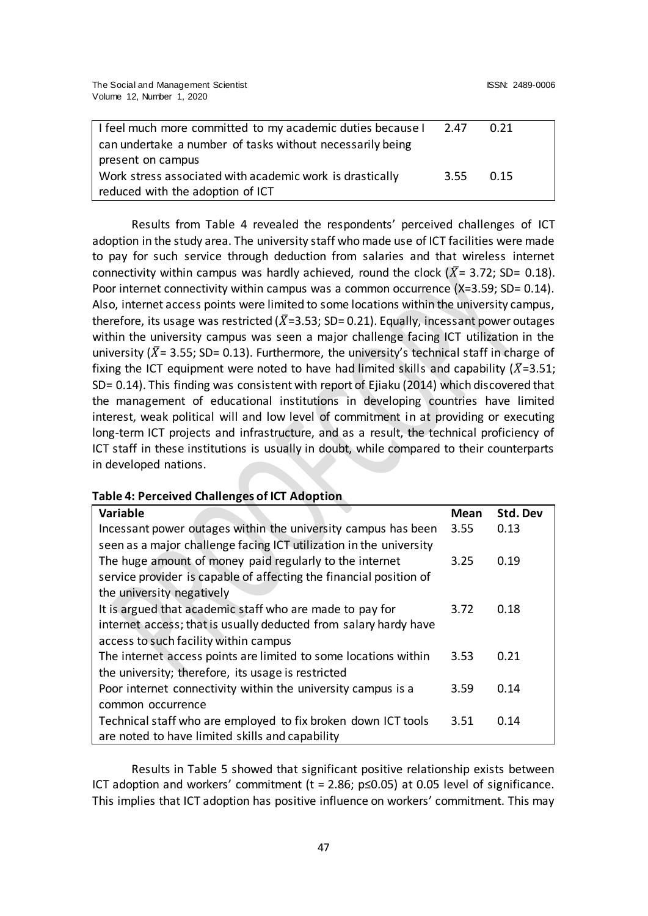| I feel much more committed to my academic duties because I | 2.47 | 0.21 |
|------------------------------------------------------------|------|------|
| can undertake a number of tasks without necessarily being  |      |      |
| present on campus                                          |      |      |
| Work stress associated with academic work is drastically   | 3.55 | 0.15 |
| reduced with the adoption of ICT                           |      |      |

Results from Table 4 revealed the respondents' perceived challenges of ICT adoption in the study area. The university staff who made use of ICT facilities were made to pay for such service through deduction from salaries and that wireless internet connectivity within campus was hardly achieved, round the clock  $(X = 3.72; SD = 0.18)$ . Poor internet connectivity within campus was a common occurrence (X=3.59; SD= 0.14). Also, internet access points were limited to some locations within the university campus, therefore, its usage was restricted ( $\bar{X}$ =3.53; SD=0.21). Equally, incessant power outages within the university campus was seen a major challenge facing ICT utilization in the university ( $\bar{X}$  = 3.55; SD= 0.13). Furthermore, the university's technical staff in charge of fixing the ICT equipment were noted to have had limited skills and capability ( $\bar{X}$ =3.51; SD= 0.14). This finding was consistent with report of Ejiaku (2014) which discovered that the management of educational institutions in developing countries have limited interest, weak political will and low level of commitment in at providing or executing long-term ICT projects and infrastructure, and as a result, the technical proficiency of ICT staff in these institutions is usually in doubt, while compared to their counterparts in developed nations.

## **Table 4: Perceived Challenges of ICT Adoption**

| Variable                                                           | <b>Mean</b> | Std. Dev |
|--------------------------------------------------------------------|-------------|----------|
| Incessant power outages within the university campus has been      | 3.55        | 0.13     |
| seen as a major challenge facing ICT utilization in the university |             |          |
| The huge amount of money paid regularly to the internet            | 3.25        | 0.19     |
| service provider is capable of affecting the financial position of |             |          |
| the university negatively                                          |             |          |
| It is argued that academic staff who are made to pay for           | 3.72        | 0.18     |
| internet access; that is usually deducted from salary hardy have   |             |          |
| access to such facility within campus                              |             |          |
| The internet access points are limited to some locations within    | 3.53        | 0.21     |
| the university; therefore, its usage is restricted                 |             |          |
| Poor internet connectivity within the university campus is a       | 3.59        | 0.14     |
| common occurrence                                                  |             |          |
| Technical staff who are employed to fix broken down ICT tools      | 3.51        | 0.14     |
| are noted to have limited skills and capability                    |             |          |

Results in Table 5 showed that significant positive relationship exists between ICT adoption and workers' commitment (t = 2.86;  $p \le 0.05$ ) at 0.05 level of significance. This implies that ICT adoption has positive influence on workers' commitment. This may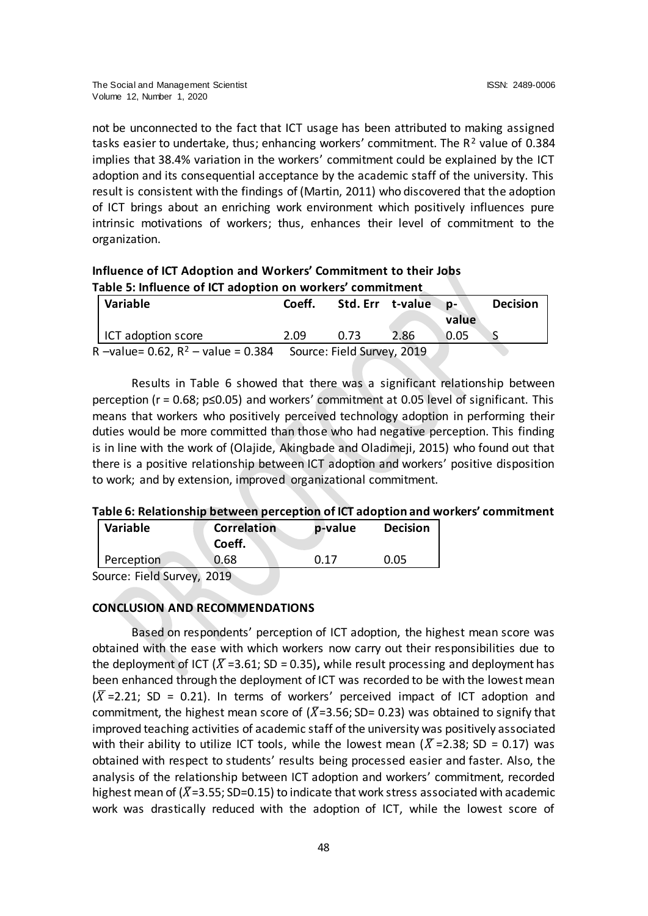not be unconnected to the fact that ICT usage has been attributed to making assigned tasks easier to undertake, thus; enhancing workers' commitment. The  $R^2$  value of 0.384 implies that 38.4% variation in the workers' commitment could be explained by the ICT adoption and its consequential acceptance by the academic staff of the university. This result is consistent with the findings of (Martin, 2011) who discovered that the adoption of ICT brings about an enriching work environment which positively influences pure intrinsic motivations of workers; thus, enhances their level of commitment to the organization.

| Influence of ICT Adoption and Workers' Commitment to their Jobs |  |
|-----------------------------------------------------------------|--|
| Table 5: Influence of ICT adoption on workers' commitment       |  |

| <b>Variable</b>                                                  | Coeff. |      | Std. Err t-value | ND- ∖<br>value | <b>Decision</b> |
|------------------------------------------------------------------|--------|------|------------------|----------------|-----------------|
| ICT adoption score                                               | 2.09   | 0.73 | 2.86             | 0.05           |                 |
| R -value= 0.62, $R^2$ - value = 0.384 Source: Field Survey, 2019 |        |      |                  |                |                 |

Results in Table 6 showed that there was a significant relationship between perception (r = 0.68; p≤0.05) and workers' commitment at 0.05 level of significant. This means that workers who positively perceived technology adoption in performing their duties would be more committed than those who had negative perception. This finding is in line with the work of (Olajide, Akingbade and Oladimeji, 2015) who found out that there is a positive relationship between ICT adoption and workers' positive disposition to work; and by extension, improved organizational commitment.

## **Table 6: Relationship between perception of ICT adoption and workers' commitment**

| <b>Variable</b> | <b>Correlation</b><br>Coeff. | p-value | <b>Decision</b> |
|-----------------|------------------------------|---------|-----------------|
| Perception      | 0.68                         | 0.17    | 0.05            |
|                 |                              |         |                 |

Source: Field Survey, 2019

# **CONCLUSION AND RECOMMENDATIONS**

Based on respondents' perception of ICT adoption, the highest mean score was obtained with the ease with which workers now carry out their responsibilities due to the deployment of ICT ( $\overline{X}$  =3.61; SD = 0.35), while result processing and deployment has been enhanced through the deployment of ICT was recorded to be with the lowest mean  $(\overline{X}$  =2.21; SD = 0.21). In terms of workers' perceived impact of ICT adoption and commitment, the highest mean score of ( $\bar{X}$ =3.56; SD= 0.23) was obtained to signify that improved teaching activities of academic staff of the university was positively associated with their ability to utilize ICT tools, while the lowest mean ( $\bar{X}$ =2.38; SD = 0.17) was obtained with respect to students' results being processed easier and faster. Also, the analysis of the relationship between ICT adoption and workers' commitment, recorded highest mean of ( $\bar{X}$ =3.55; SD=0.15) to indicate that work stress associated with academic work was drastically reduced with the adoption of ICT, while the lowest score of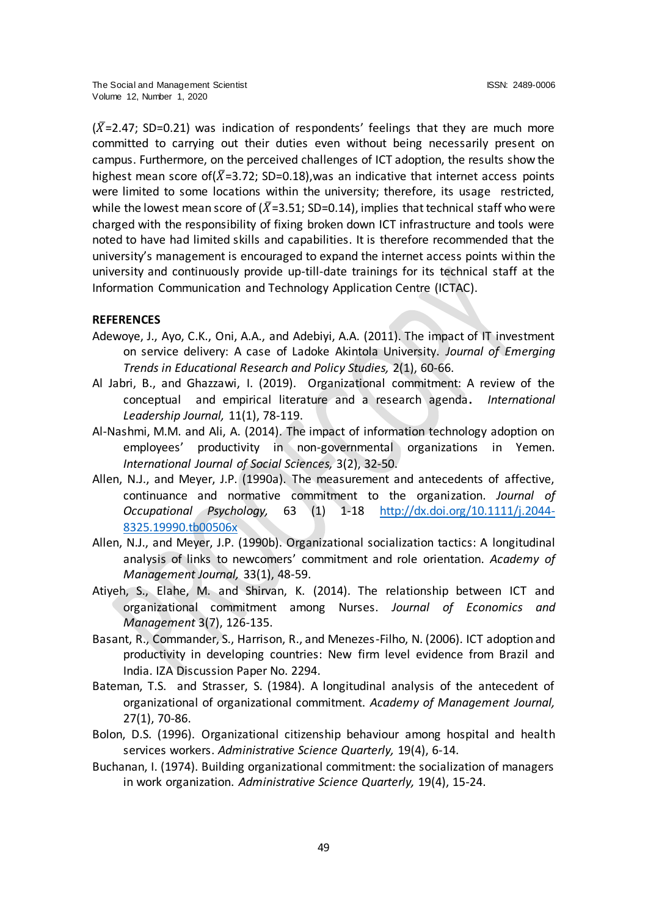$(X=2.47; SD=0.21)$  was indication of respondents' feelings that they are much more committed to carrying out their duties even without being necessarily present on campus. Furthermore, on the perceived challenges of ICT adoption, the results show the highest mean score of  $(X=3.72; SD=0.18)$ , was an indicative that internet access points were limited to some locations within the university; therefore, its usage restricted, while the lowest mean score of ( $\bar{X}$ =3.51; SD=0.14), implies that technical staff who were charged with the responsibility of fixing broken down ICT infrastructure and tools were noted to have had limited skills and capabilities. It is therefore recommended that the university's management is encouraged to expand the internet access points within the university and continuously provide up-till-date trainings for its technical staff at the Information Communication and Technology Application Centre (ICTAC).

## **REFERENCES**

- Adewoye, J., Ayo, C.K., Oni, A.A., and Adebiyi, A.A. (2011). The impact of IT investment on service delivery: A case of Ladoke Akintola University. *Journal of Emerging Trends in Educational Research and Policy Studies,* 2(1), 60-66.
- Al Jabri, B., and Ghazzawi, I. (2019). Organizational commitment: A review of the conceptual and empirical literature and a research agenda**.** *International Leadership Journal,* 11(1), 78-119.
- Al-Nashmi, M.M. and Ali, A. (2014). The impact of information technology adoption on employees' productivity in non-governmental organizations in Yemen. *International Journal of Social Sciences,* 3(2), 32-50.
- Allen, N.J., and Meyer, J.P. (1990a). The measurement and antecedents of affective, continuance and normative commitment to the organization. *Journal of Occupational Psychology,* 63 (1) 1-18 [http://dx.doi.org/10.1111/j.2044-](http://dx.doi.org/10.1111/j.2044-8325.19990.tb00506x) [8325.19990.tb00506x](http://dx.doi.org/10.1111/j.2044-8325.19990.tb00506x)
- Allen, N.J., and Meyer, J.P. (1990b). Organizational socialization tactics: A longitudinal analysis of links to newcomers' commitment and role orientation. *Academy of Management Journal,* 33(1), 48-59.
- Atiyeh, S., Elahe, M. and Shirvan, K. (2014). The relationship between ICT and organizational commitment among Nurses. *Journal of Economics and Management* 3(7), 126-135.
- Basant, R., Commander, S., Harrison, R., and Menezes-Filho, N. (2006). ICT adoption and productivity in developing countries: New firm level evidence from Brazil and India. IZA Discussion Paper No. 2294.
- Bateman, T.S. and Strasser, S. (1984). A longitudinal analysis of the antecedent of organizational of organizational commitment. *Academy of Management Journal,* 27(1), 70-86.
- Bolon, D.S. (1996). Organizational citizenship behaviour among hospital and health services workers. *Administrative Science Quarterly,* 19(4), 6-14.
- Buchanan, I. (1974). Building organizational commitment: the socialization of managers in work organization. *Administrative Science Quarterly,* 19(4), 15-24.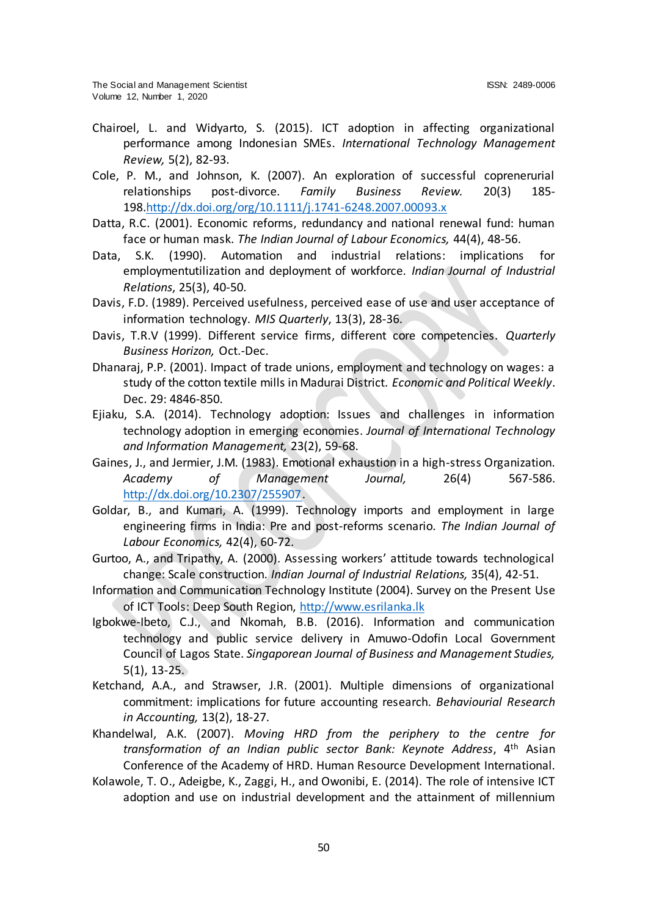- Chairoel, L. and Widyarto, S. (2015). ICT adoption in affecting organizational performance among Indonesian SMEs. *International Technology Management Review,* 5(2), 82-93.
- Cole, P. M., and Johnson, K. (2007). An exploration of successful coprenerurial relationships post-divorce. *Family Business Review.* 20(3) 185- 198[.http://dx.doi.org/org/10.1111/j.1741-6248.2007.00093.x](http://dx.doi.org/org/10.1111/j.1741-6248.2007.00093.x)
- Datta, R.C. (2001). Economic reforms, redundancy and national renewal fund: human face or human mask. *The Indian Journal of Labour Economics,* 44(4), 48-56.
- Data, S.K. (1990). Automation and industrial relations: implications for employmentutilization and deployment of workforce. *Indian Journal of Industrial Relations*, 25(3), 40-50.
- Davis, F.D. (1989). Perceived usefulness, perceived ease of use and user acceptance of information technology. *MIS Quarterly*, 13(3), 28-36.
- Davis, T.R.V (1999). Different service firms, different core competencies. *Quarterly Business Horizon,* Oct.-Dec.
- Dhanaraj, P.P. (2001). Impact of trade unions, employment and technology on wages: a study of the cotton textile mills in Madurai District. *Economic and Political Weekly*. Dec. 29: 4846-850.
- Ejiaku, S.A. (2014). Technology adoption: Issues and challenges in information technology adoption in emerging economies. *Journal of International Technology and Information Management,* 23(2), 59-68.
- Gaines, J., and Jermier, J.M. (1983). Emotional exhaustion in a high-stress Organization. *Academy of Management Journal,* 26(4) 567-586. [http://dx.doi.org/10.2307/255907.](http://dx.doi.org/10.2307/255907)
- Goldar, B., and Kumari, A. (1999). Technology imports and employment in large engineering firms in India: Pre and post-reforms scenario. *The Indian Journal of Labour Economics,* 42(4), 60-72.
- Gurtoo, A., and Tripathy, A. (2000). Assessing workers' attitude towards technological change: Scale construction. *Indian Journal of Industrial Relations,* 35(4), 42-51.
- Information and Communication Technology Institute (2004). Survey on the Present Use of ICT Tools: Deep South Region[, http://www.esrilanka.lk](http://www.esrilanka.lk/)
- Igbokwe-Ibeto, C.J., and Nkomah, B.B. (2016). Information and communication technology and public service delivery in Amuwo-Odofin Local Government Council of Lagos State. *Singaporean Journal of Business and Management Studies,* 5(1), 13-25.
- Ketchand, A.A., and Strawser, J.R. (2001). Multiple dimensions of organizational commitment: implications for future accounting research. *Behaviourial Research in Accounting,* 13(2), 18-27.
- Khandelwal, A.K. (2007). *Moving HRD from the periphery to the centre for transformation of an Indian public sector Bank: Keynote Address*, 4th Asian Conference of the Academy of HRD. Human Resource Development International.
- Kolawole, T. O., Adeigbe, K., Zaggi, H., and Owonibi, E. (2014). The role of intensive ICT adoption and use on industrial development and the attainment of millennium